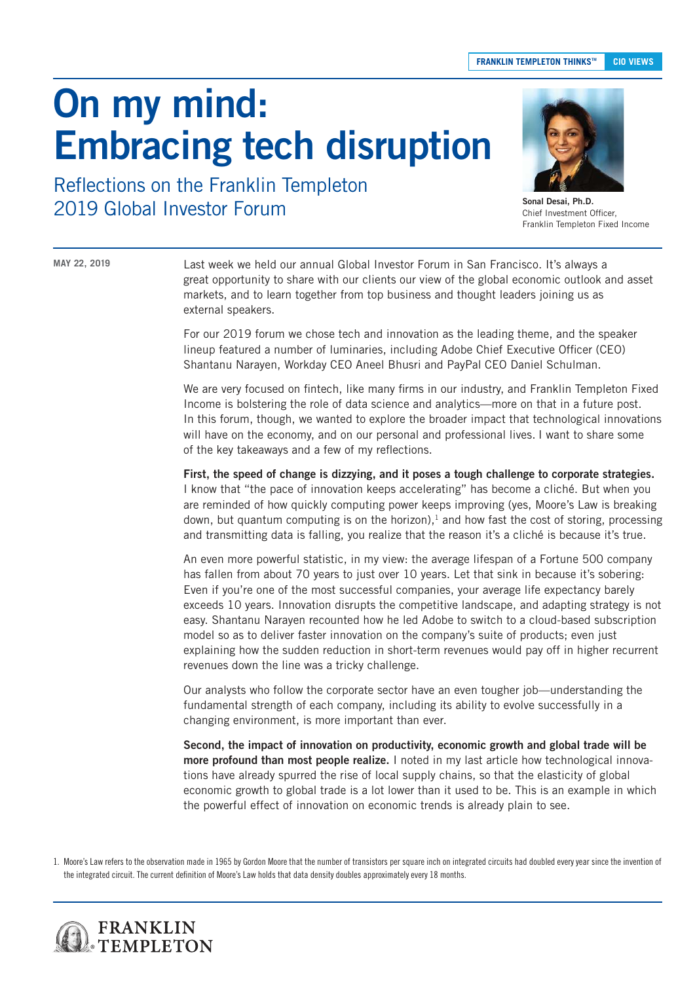# On my mind: Embracing tech disruption



Sonal Desai, Ph.D. Chief Investment Officer, Franklin Templeton Fixed Income

Reflections on the Franklin Templeton 2019 Global Investor Forum

#### **MAY 22, 2019**

Last week we held our annual Global Investor Forum in San Francisco. It's always a great opportunity to share with our clients our view of the global economic outlook and asset markets, and to learn together from top business and thought leaders joining us as external speakers.

For our 2019 forum we chose tech and innovation as the leading theme, and the speaker lineup featured a number of luminaries, including Adobe Chief Executive Officer (CEO) Shantanu Narayen, Workday CEO Aneel Bhusri and PayPal CEO Daniel Schulman.

We are very focused on fintech, like many firms in our industry, and Franklin Templeton Fixed Income is bolstering the role of data science and analytics—more on that in a future post. In this forum, though, we wanted to explore the broader impact that technological innovations will have on the economy, and on our personal and professional lives. I want to share some of the key takeaways and a few of my reflections.

First, the speed of change is dizzying, and it poses a tough challenge to corporate strategies. I know that "the pace of innovation keeps accelerating" has become a cliché. But when you are reminded of how quickly computing power keeps improving (yes, Moore's Law is breaking down, but quantum computing is on the horizon),<sup>1</sup> and how fast the cost of storing, processing and transmitting data is falling, you realize that the reason it's a cliché is because it's true.

An even more powerful statistic, in my view: the average lifespan of a Fortune 500 company has fallen from about 70 years to just over 10 years. Let that sink in because it's sobering: Even if you're one of the most successful companies, your average life expectancy barely exceeds 10 years. Innovation disrupts the competitive landscape, and adapting strategy is not easy. Shantanu Narayen recounted how he led Adobe to switch to a cloud-based subscription model so as to deliver faster innovation on the company's suite of products; even just explaining how the sudden reduction in short-term revenues would pay off in higher recurrent revenues down the line was a tricky challenge.

Our analysts who follow the corporate sector have an even tougher job—understanding the fundamental strength of each company, including its ability to evolve successfully in a changing environment, is more important than ever.

Second, the impact of innovation on productivity, economic growth and global trade will be more profound than most people realize. I noted in my last article how technological innovations have already spurred the rise of local supply chains, so that the elasticity of global economic growth to global trade is a lot lower than it used to be. This is an example in which the powerful effect of innovation on economic trends is already plain to see.

1. Moore's Law refers to the observation made in 1965 by Gordon Moore that the number of transistors per square inch on integrated circuits had doubled every year since the invention of the integrated circuit. The current definition of Moore's Law holds that data density doubles approximately every 18 months.

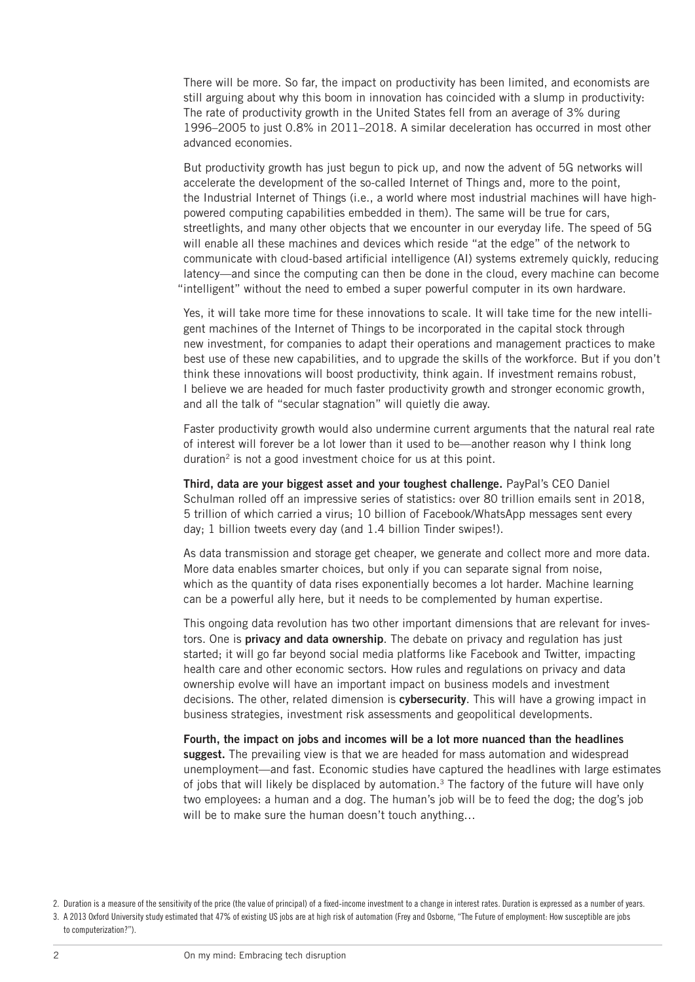There will be more. So far, the impact on productivity has been limited, and economists are still arguing about why this boom in innovation has coincided with a slump in productivity: The rate of productivity growth in the United States fell from an average of 3% during 1996–2005 to just 0.8% in 2011–2018. A similar deceleration has occurred in most other advanced economies.

But productivity growth has just begun to pick up, and now the advent of 5G networks will accelerate the development of the so-called Internet of Things and, more to the point, the Industrial Internet of Things (i.e., a world where most industrial machines will have highpowered computing capabilities embedded in them). The same will be true for cars, streetlights, and many other objects that we encounter in our everyday life. The speed of 5G will enable all these machines and devices which reside "at the edge" of the network to communicate with cloud-based artificial intelligence (AI) systems extremely quickly, reducing latency—and since the computing can then be done in the cloud, every machine can become "intelligent" without the need to embed a super powerful computer in its own hardware.

Yes, it will take more time for these innovations to scale. It will take time for the new intelligent machines of the Internet of Things to be incorporated in the capital stock through new investment, for companies to adapt their operations and management practices to make best use of these new capabilities, and to upgrade the skills of the workforce. But if you don't think these innovations will boost productivity, think again. If investment remains robust, I believe we are headed for much faster productivity growth and stronger economic growth, and all the talk of "secular stagnation" will quietly die away.

Faster productivity growth would also undermine current arguments that the natural real rate of interest will forever be a lot lower than it used to be—another reason why I think long duration<sup>2</sup> is not a good investment choice for us at this point.

Third, data are your biggest asset and your toughest challenge. PayPal's CEO Daniel Schulman rolled off an impressive series of statistics: over 80 trillion emails sent in 2018, 5 trillion of which carried a virus; 10 billion of Facebook/WhatsApp messages sent every day; 1 billion tweets every day (and 1.4 billion Tinder swipes!).

As data transmission and storage get cheaper, we generate and collect more and more data. More data enables smarter choices, but only if you can separate signal from noise, which as the quantity of data rises exponentially becomes a lot harder. Machine learning can be a powerful ally here, but it needs to be complemented by human expertise.

This ongoing data revolution has two other important dimensions that are relevant for investors. One is **privacy and data ownership**. The debate on privacy and regulation has just started; it will go far beyond social media platforms like Facebook and Twitter, impacting health care and other economic sectors. How rules and regulations on privacy and data ownership evolve will have an important impact on business models and investment decisions. The other, related dimension is **cybersecurity**. This will have a growing impact in business strategies, investment risk assessments and geopolitical developments.

Fourth, the impact on jobs and incomes will be a lot more nuanced than the headlines suggest. The prevailing view is that we are headed for mass automation and widespread unemployment—and fast. Economic studies have captured the headlines with large estimates of jobs that will likely be displaced by automation. $3$  The factory of the future will have only two employees: a human and a dog. The human's job will be to feed the dog; the dog's job will be to make sure the human doesn't touch anything...

<sup>2.</sup> Duration is a measure of the sensitivity of the price (the value of principal) of a fixed-income investment to a change in interest rates. Duration is expressed as a number of years.

<sup>3.</sup> A 2013 Oxford University study estimated that 47% of existing US jobs are at high risk of automation (Frey and Osborne, "The Future of employment: How susceptible are jobs to computerization?").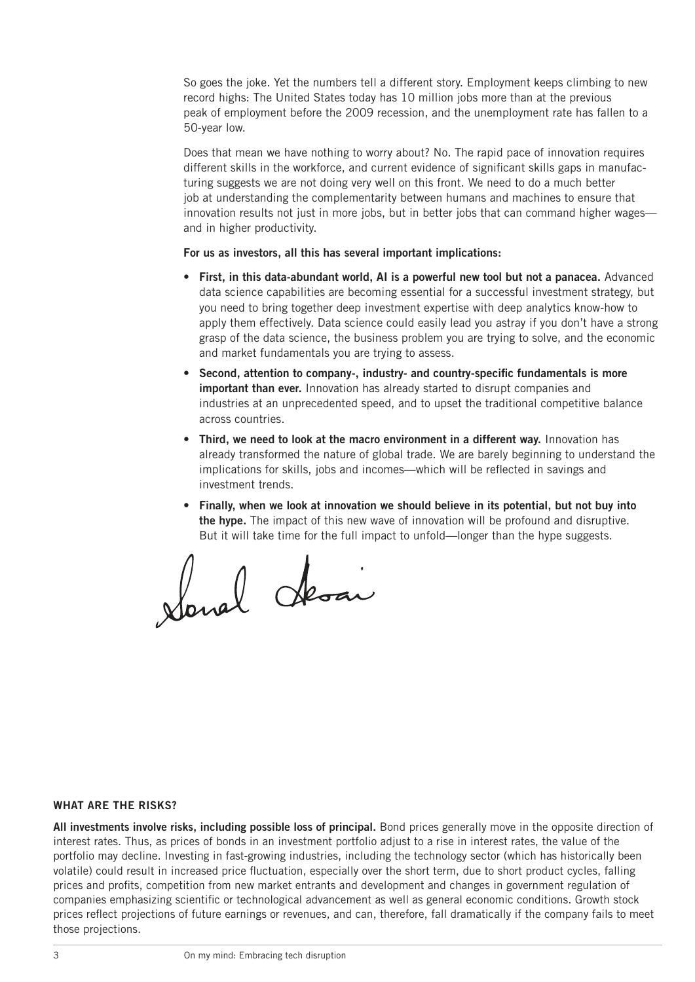So goes the joke. Yet the numbers tell a different story. Employment keeps climbing to new record highs: The United States today has 10 million jobs more than at the previous peak of employment before the 2009 recession, and the unemployment rate has fallen to a 50-year low.

Does that mean we have nothing to worry about? No. The rapid pace of innovation requires different skills in the workforce, and current evidence of significant skills gaps in manufacturing suggests we are not doing very well on this front. We need to do a much better job at understanding the complementarity between humans and machines to ensure that innovation results not just in more jobs, but in better jobs that can command higher wages and in higher productivity.

### For us as investors, all this has several important implications:

- First, in this data-abundant world, AI is a powerful new tool but not a panacea. Advanced data science capabilities are becoming essential for a successful investment strategy, but you need to bring together deep investment expertise with deep analytics know-how to apply them effectively. Data science could easily lead you astray if you don't have a strong grasp of the data science, the business problem you are trying to solve, and the economic and market fundamentals you are trying to assess.
- Second, attention to company-, industry- and country-specific fundamentals is more important than ever. Innovation has already started to disrupt companies and industries at an unprecedented speed, and to upset the traditional competitive balance across countries.
- Third, we need to look at the macro environment in a different way. Innovation has already transformed the nature of global trade. We are barely beginning to understand the implications for skills, jobs and incomes—which will be reflected in savings and investment trends.
- Finally, when we look at innovation we should believe in its potential, but not buy into the hype. The impact of this new wave of innovation will be profound and disruptive. But it will take time for the full impact to unfold—longer than the hype suggests.

Sonal Aloan

## WHAT ARE THE RISKS?

All investments involve risks, including possible loss of principal. Bond prices generally move in the opposite direction of interest rates. Thus, as prices of bonds in an investment portfolio adjust to a rise in interest rates, the value of the portfolio may decline. Investing in fast-growing industries, including the technology sector (which has historically been volatile) could result in increased price fluctuation, especially over the short term, due to short product cycles, falling prices and profits, competition from new market entrants and development and changes in government regulation of companies emphasizing scientific or technological advancement as well as general economic conditions. Growth stock prices reflect projections of future earnings or revenues, and can, therefore, fall dramatically if the company fails to meet those projections.